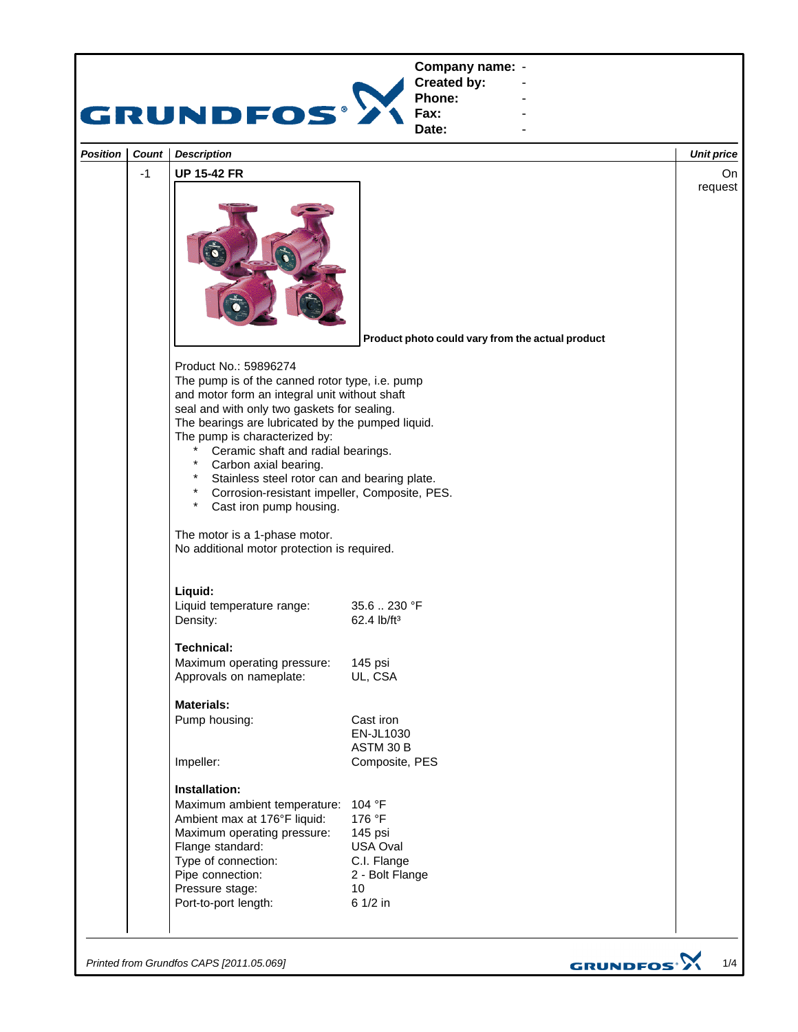

*Printed from Grundfos CAPS [2011.05.069]*

GRUNDFOS<sup>.</sup>>

1/4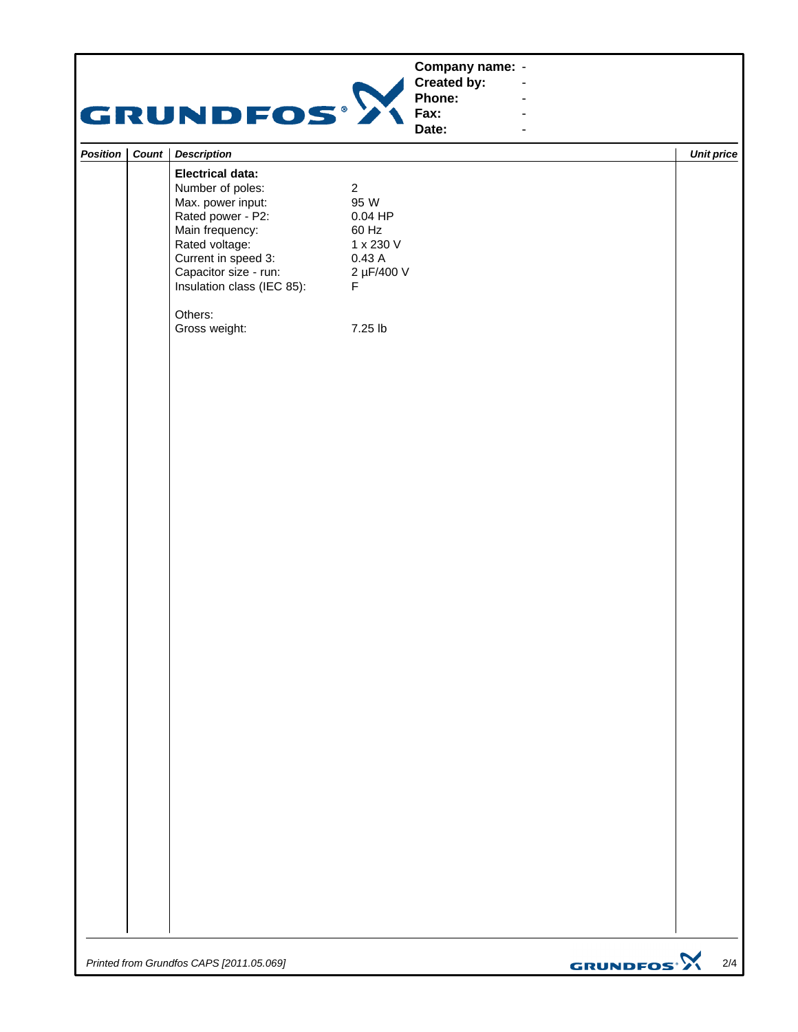| Company name: -<br>Created by:<br>Phone:<br><b>GRUNDFOS®</b><br>Fax:<br>Date:<br>$\blacksquare$                                                                                                                                                                                                                                                                  |                   |
|------------------------------------------------------------------------------------------------------------------------------------------------------------------------------------------------------------------------------------------------------------------------------------------------------------------------------------------------------------------|-------------------|
| <b>Description</b>                                                                                                                                                                                                                                                                                                                                               | <b>Unit price</b> |
| Position   Count  <br><b>Electrical data:</b><br>Number of poles:<br>$\overline{a}$<br>Max. power input:<br>95 W<br>Rated power - P2:<br>$0.04$ HP<br>Main frequency:<br>60 Hz<br>Rated voltage:<br>1 x 230 V<br>Current in speed 3:<br>0.43 A<br>Capacitor size - run:<br>2 µF/400 V<br>Insulation class (IEC 85):<br>F.<br>Others:<br>Gross weight:<br>7.25 lb |                   |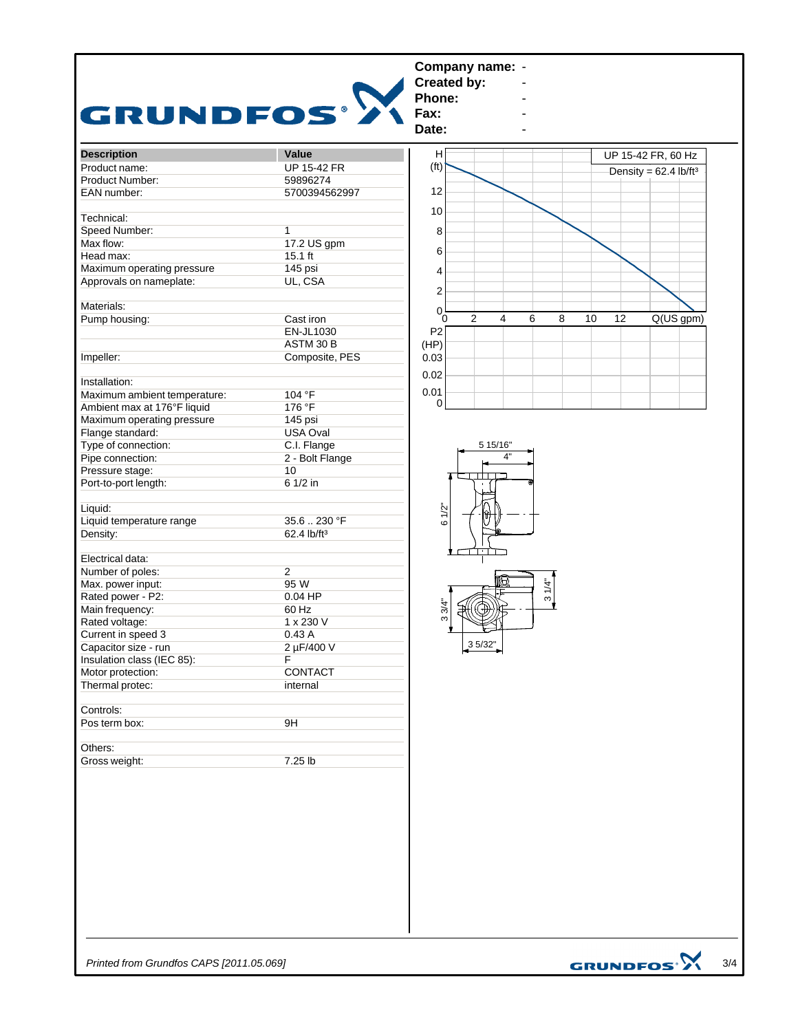

3/4